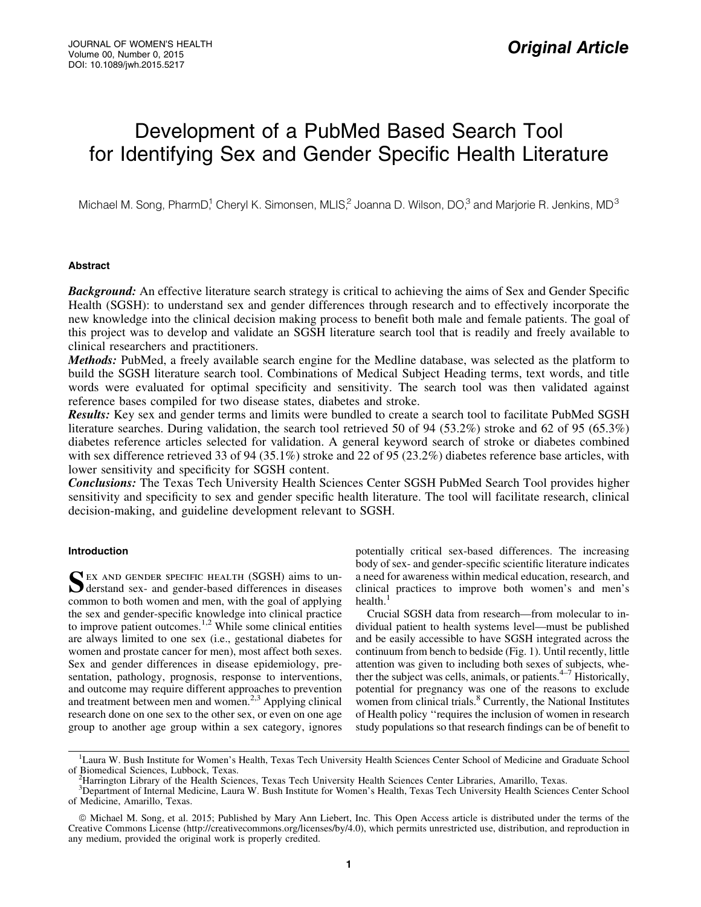# Development of a PubMed Based Search Tool for Identifying Sex and Gender Specific Health Literature

Michael M. Song, PharmD,<sup>1</sup> Cheryl K. Simonsen, MLIS,<sup>2</sup> Joanna D. Wilson, DO,<sup>3</sup> and Marjorie R. Jenkins, MD<sup>3</sup>

## Abstract

**Background:** An effective literature search strategy is critical to achieving the aims of Sex and Gender Specific Health (SGSH): to understand sex and gender differences through research and to effectively incorporate the new knowledge into the clinical decision making process to benefit both male and female patients. The goal of this project was to develop and validate an SGSH literature search tool that is readily and freely available to clinical researchers and practitioners.

Methods: PubMed, a freely available search engine for the Medline database, was selected as the platform to build the SGSH literature search tool. Combinations of Medical Subject Heading terms, text words, and title words were evaluated for optimal specificity and sensitivity. The search tool was then validated against reference bases compiled for two disease states, diabetes and stroke.

Results: Key sex and gender terms and limits were bundled to create a search tool to facilitate PubMed SGSH literature searches. During validation, the search tool retrieved 50 of 94 (53.2%) stroke and 62 of 95 (65.3%) diabetes reference articles selected for validation. A general keyword search of stroke or diabetes combined with sex difference retrieved 33 of 94 (35.1%) stroke and 22 of 95 (23.2%) diabetes reference base articles, with lower sensitivity and specificity for SGSH content.

Conclusions: The Texas Tech University Health Sciences Center SGSH PubMed Search Tool provides higher sensitivity and specificity to sex and gender specific health literature. The tool will facilitate research, clinical decision-making, and guideline development relevant to SGSH.

# Introduction

SEX AND GENDER SPECIFIC HEALTH (SGSH) aims to un-<br>derstand sex- and gender-based differences in diseases common to both women and men, with the goal of applying the sex and gender-specific knowledge into clinical practice to improve patient outcomes.<sup>1,2</sup> While some clinical entities are always limited to one sex (i.e., gestational diabetes for women and prostate cancer for men), most affect both sexes. Sex and gender differences in disease epidemiology, presentation, pathology, prognosis, response to interventions, and outcome may require different approaches to prevention and treatment between men and women. $2,3$  Applying clinical research done on one sex to the other sex, or even on one age group to another age group within a sex category, ignores potentially critical sex-based differences. The increasing body of sex- and gender-specific scientific literature indicates a need for awareness within medical education, research, and clinical practices to improve both women's and men's health.<sup>1</sup>

Crucial SGSH data from research—from molecular to individual patient to health systems level—must be published and be easily accessible to have SGSH integrated across the continuum from bench to bedside (Fig. 1). Until recently, little attention was given to including both sexes of subjects, whether the subject was cells, animals, or patients. $4-7$  Historically, potential for pregnancy was one of the reasons to exclude women from clinical trials.<sup>8</sup> Currently, the National Institutes of Health policy ''requires the inclusion of women in research study populations so that research findings can be of benefit to

<sup>&</sup>lt;sup>1</sup>Laura W. Bush Institute for Women's Health, Texas Tech University Health Sciences Center School of Medicine and Graduate School of Biomedical Sciences, Lubbock, Texas. <sup>2</sup>

Harrington Library of the Health Sciences, Texas Tech University Health Sciences Center Libraries, Amarillo, Texas.

<sup>3</sup> Department of Internal Medicine, Laura W. Bush Institute for Women's Health, Texas Tech University Health Sciences Center School of Medicine, Amarillo, Texas.

ª Michael M. Song, et al. 2015; Published by Mary Ann Liebert, Inc. This Open Access article is distributed under the terms of the Creative Commons License (http://creativecommons.org/licenses/by/4.0), which permits unrestricted use, distribution, and reproduction in any medium, provided the original work is properly credited.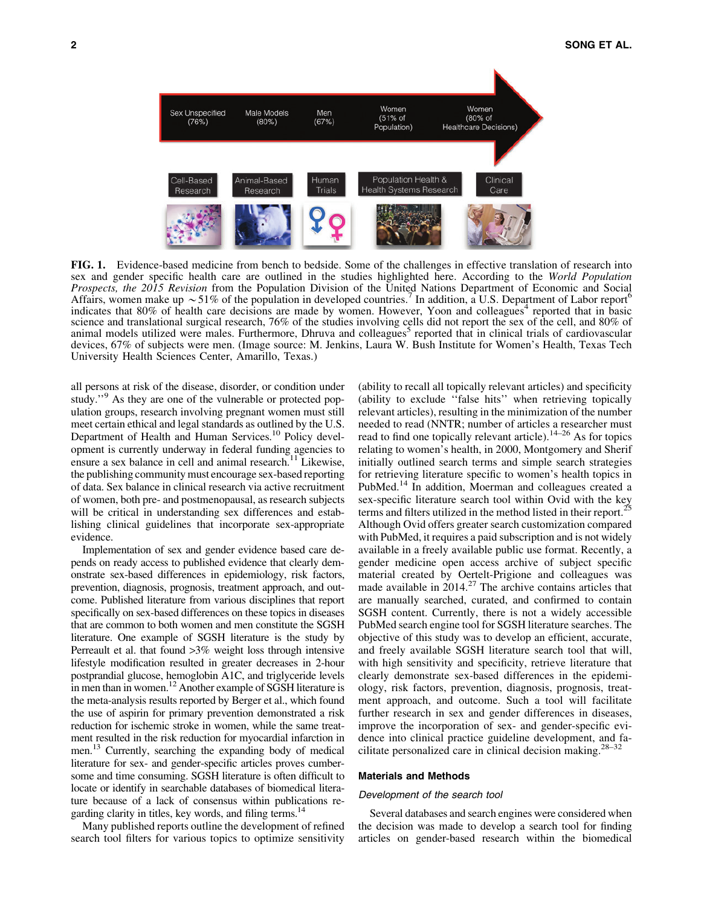

FIG. 1. Evidence-based medicine from bench to bedside. Some of the challenges in effective translation of research into sex and gender specific health care are outlined in the studies highlighted here. According to the *World Population Prospects, the 2015 Revision* from the Population Division of the United Nations Department of Economic and Social Affairs, women make up  $\sim$  51% of the population in developed countries. In addition, a U.S. Department of Labor report<sup>6</sup> indicates that  $80\%$  of health care decisions are made by women. However, Yoon and colleagues<sup>4</sup> reported that in basic science and translational surgical research, 76% of the studies involving cells did not report the sex of the cell, and 80% of animal models utilized were males. Furthermore, Dhruva and colleagues<sup>5</sup> reported that in clinical trials of cardiovascular devices, 67% of subjects were men. (Image source: M. Jenkins, Laura W. Bush Institute for Women's Health, Texas Tech University Health Sciences Center, Amarillo, Texas.)

all persons at risk of the disease, disorder, or condition under study."<sup>9</sup> As they are one of the vulnerable or protected population groups, research involving pregnant women must still meet certain ethical and legal standards as outlined by the U.S. Department of Health and Human Services.<sup>10</sup> Policy development is currently underway in federal funding agencies to ensure a sex balance in cell and animal research.<sup>11</sup> Likewise, the publishing community must encourage sex-based reporting of data. Sex balance in clinical research via active recruitment of women, both pre- and postmenopausal, as research subjects will be critical in understanding sex differences and establishing clinical guidelines that incorporate sex-appropriate evidence.

Implementation of sex and gender evidence based care depends on ready access to published evidence that clearly demonstrate sex-based differences in epidemiology, risk factors, prevention, diagnosis, prognosis, treatment approach, and outcome. Published literature from various disciplines that report specifically on sex-based differences on these topics in diseases that are common to both women and men constitute the SGSH literature. One example of SGSH literature is the study by Perreault et al. that found >3% weight loss through intensive lifestyle modification resulted in greater decreases in 2-hour postprandial glucose, hemoglobin A1C, and triglyceride levels in men than in women.<sup>12</sup> Another example of SGSH literature is the meta-analysis results reported by Berger et al., which found the use of aspirin for primary prevention demonstrated a risk reduction for ischemic stroke in women, while the same treatment resulted in the risk reduction for myocardial infarction in men.<sup>13</sup> Currently, searching the expanding body of medical literature for sex- and gender-specific articles proves cumbersome and time consuming. SGSH literature is often difficult to locate or identify in searchable databases of biomedical literature because of a lack of consensus within publications regarding clarity in titles, key words, and filing terms.<sup>14</sup>

Many published reports outline the development of refined search tool filters for various topics to optimize sensitivity

(ability to recall all topically relevant articles) and specificity (ability to exclude ''false hits'' when retrieving topically relevant articles), resulting in the minimization of the number needed to read (NNTR; number of articles a researcher must read to find one topically relevant article).<sup>14–26</sup> As for topics relating to women's health, in 2000, Montgomery and Sherif initially outlined search terms and simple search strategies for retrieving literature specific to women's health topics in PubMed.<sup>14</sup> In addition, Moerman and colleagues created a sex-specific literature search tool within Ovid with the key terms and filters utilized in the method listed in their report.<sup>25</sup> Although Ovid offers greater search customization compared with PubMed, it requires a paid subscription and is not widely available in a freely available public use format. Recently, a gender medicine open access archive of subject specific material created by Oertelt-Prigione and colleagues was made available in  $2014.<sup>27</sup>$  The archive contains articles that are manually searched, curated, and confirmed to contain SGSH content. Currently, there is not a widely accessible PubMed search engine tool for SGSH literature searches. The objective of this study was to develop an efficient, accurate, and freely available SGSH literature search tool that will, with high sensitivity and specificity, retrieve literature that clearly demonstrate sex-based differences in the epidemiology, risk factors, prevention, diagnosis, prognosis, treatment approach, and outcome. Such a tool will facilitate further research in sex and gender differences in diseases, improve the incorporation of sex- and gender-specific evidence into clinical practice guideline development, and facilitate personalized care in clinical decision making.28–32

#### Materials and Methods

#### Development of the search tool

Several databases and search engines were considered when the decision was made to develop a search tool for finding articles on gender-based research within the biomedical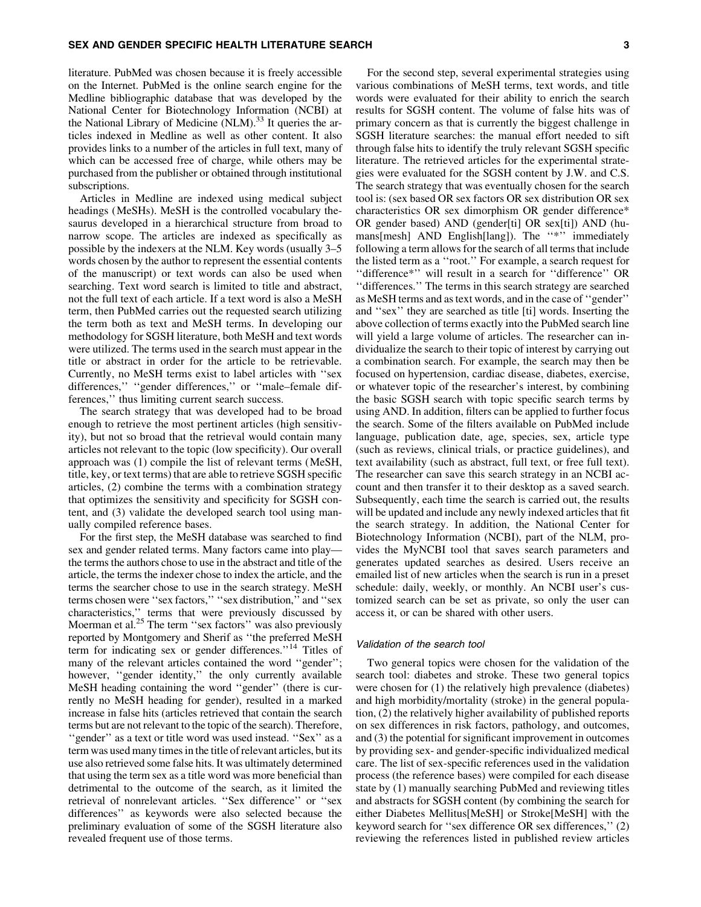#### SEX AND GENDER SPECIFIC HEALTH LITERATURE SEARCH 3

literature. PubMed was chosen because it is freely accessible on the Internet. PubMed is the online search engine for the Medline bibliographic database that was developed by the National Center for Biotechnology Information (NCBI) at the National Library of Medicine  $(NLM)$ <sup>33</sup> It queries the articles indexed in Medline as well as other content. It also provides links to a number of the articles in full text, many of which can be accessed free of charge, while others may be purchased from the publisher or obtained through institutional subscriptions.

Articles in Medline are indexed using medical subject headings (MeSHs). MeSH is the controlled vocabulary thesaurus developed in a hierarchical structure from broad to narrow scope. The articles are indexed as specifically as possible by the indexers at the NLM. Key words (usually 3–5 words chosen by the author to represent the essential contents of the manuscript) or text words can also be used when searching. Text word search is limited to title and abstract, not the full text of each article. If a text word is also a MeSH term, then PubMed carries out the requested search utilizing the term both as text and MeSH terms. In developing our methodology for SGSH literature, both MeSH and text words were utilized. The terms used in the search must appear in the title or abstract in order for the article to be retrievable. Currently, no MeSH terms exist to label articles with ''sex differences," "gender differences," or "male–female differences,'' thus limiting current search success.

The search strategy that was developed had to be broad enough to retrieve the most pertinent articles (high sensitivity), but not so broad that the retrieval would contain many articles not relevant to the topic (low specificity). Our overall approach was (1) compile the list of relevant terms (MeSH, title, key, or text terms) that are able to retrieve SGSH specific articles, (2) combine the terms with a combination strategy that optimizes the sensitivity and specificity for SGSH content, and (3) validate the developed search tool using manually compiled reference bases.

For the first step, the MeSH database was searched to find sex and gender related terms. Many factors came into play the terms the authors chose to use in the abstract and title of the article, the terms the indexer chose to index the article, and the terms the searcher chose to use in the search strategy. MeSH terms chosen were ''sex factors,'' ''sex distribution,'' and ''sex characteristics,'' terms that were previously discussed by Moerman et al.<sup>25</sup> The term "sex factors" was also previously reported by Montgomery and Sherif as ''the preferred MeSH term for indicating sex or gender differences."<sup>14</sup> Titles of many of the relevant articles contained the word ''gender''; however, "gender identity," the only currently available MeSH heading containing the word ''gender'' (there is currently no MeSH heading for gender), resulted in a marked increase in false hits (articles retrieved that contain the search terms but are not relevant to the topic of the search). Therefore, ''gender'' as a text or title word was used instead. ''Sex'' as a term was used many times in the title of relevant articles, but its use also retrieved some false hits. It was ultimately determined that using the term sex as a title word was more beneficial than detrimental to the outcome of the search, as it limited the retrieval of nonrelevant articles. ''Sex difference'' or ''sex differences'' as keywords were also selected because the preliminary evaluation of some of the SGSH literature also revealed frequent use of those terms.

For the second step, several experimental strategies using various combinations of MeSH terms, text words, and title words were evaluated for their ability to enrich the search results for SGSH content. The volume of false hits was of primary concern as that is currently the biggest challenge in SGSH literature searches: the manual effort needed to sift through false hits to identify the truly relevant SGSH specific literature. The retrieved articles for the experimental strategies were evaluated for the SGSH content by J.W. and C.S. The search strategy that was eventually chosen for the search tool is: (sex based OR sex factors OR sex distribution OR sex characteristics OR sex dimorphism OR gender difference\* OR gender based) AND (gender[ti] OR sex[ti]) AND (humans[mesh] AND English[lang]). The "\*" immediately following a term allows for the search of all terms that include the listed term as a ''root.'' For example, a search request for ''difference\*'' will result in a search for ''difference'' OR ''differences.'' The terms in this search strategy are searched as MeSH terms and as text words, and in the case of ''gender'' and ''sex'' they are searched as title [ti] words. Inserting the above collection of terms exactly into the PubMed search line will yield a large volume of articles. The researcher can individualize the search to their topic of interest by carrying out a combination search. For example, the search may then be focused on hypertension, cardiac disease, diabetes, exercise, or whatever topic of the researcher's interest, by combining the basic SGSH search with topic specific search terms by using AND. In addition, filters can be applied to further focus the search. Some of the filters available on PubMed include language, publication date, age, species, sex, article type (such as reviews, clinical trials, or practice guidelines), and text availability (such as abstract, full text, or free full text). The researcher can save this search strategy in an NCBI account and then transfer it to their desktop as a saved search. Subsequently, each time the search is carried out, the results will be updated and include any newly indexed articles that fit the search strategy. In addition, the National Center for Biotechnology Information (NCBI), part of the NLM, provides the MyNCBI tool that saves search parameters and generates updated searches as desired. Users receive an emailed list of new articles when the search is run in a preset schedule: daily, weekly, or monthly. An NCBI user's customized search can be set as private, so only the user can access it, or can be shared with other users.

## Validation of the search tool

Two general topics were chosen for the validation of the search tool: diabetes and stroke. These two general topics were chosen for (1) the relatively high prevalence (diabetes) and high morbidity/mortality (stroke) in the general population, (2) the relatively higher availability of published reports on sex differences in risk factors, pathology, and outcomes, and (3) the potential for significant improvement in outcomes by providing sex- and gender-specific individualized medical care. The list of sex-specific references used in the validation process (the reference bases) were compiled for each disease state by (1) manually searching PubMed and reviewing titles and abstracts for SGSH content (by combining the search for either Diabetes Mellitus[MeSH] or Stroke[MeSH] with the keyword search for ''sex difference OR sex differences,'' (2) reviewing the references listed in published review articles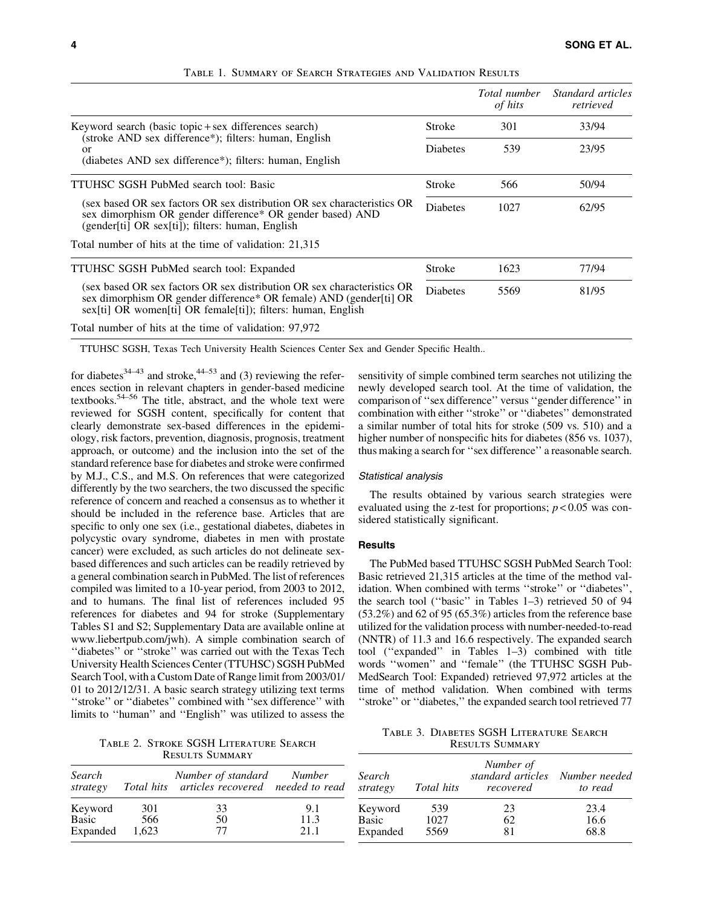|                                                                                                                                                                                                                                                           |  | Total number<br>of hits | <i>Standard articles</i><br>retrieved |
|-----------------------------------------------------------------------------------------------------------------------------------------------------------------------------------------------------------------------------------------------------------|--|-------------------------|---------------------------------------|
| Keyword search (basic topic + sex differences search)<br>(stroke AND sex difference*); filters: human, English<br>or<br>(diabetes AND sex difference*); filters: human, English                                                                           |  | 301                     | 33/94                                 |
|                                                                                                                                                                                                                                                           |  | 539                     | 23/95                                 |
| <b>TTUHSC SGSH PubMed search tool: Basic</b>                                                                                                                                                                                                              |  | 566                     | 50/94                                 |
| (sex based OR sex factors OR sex distribution OR sex characteristics OR<br>sex dimorphism OR gender difference* OR gender based) AND<br>(gender[ti] OR sex[ti]); filters: human, English                                                                  |  | 1027                    | 62/95                                 |
| Total number of hits at the time of validation: 21,315                                                                                                                                                                                                    |  |                         |                                       |
| TTUHSC SGSH PubMed search tool: Expanded<br>(sex based OR sex factors OR sex distribution OR sex characteristics OR<br>sex dimorphism OR gender difference* OR female) AND (gender[ti] OR<br>sex[ti] OR women[ti] OR female[ti]); filters: human, English |  | 1623                    | 77/94                                 |
|                                                                                                                                                                                                                                                           |  | 5569                    | 81/95                                 |
| Total number of hits at the time of validation: 97,972                                                                                                                                                                                                    |  |                         |                                       |

Table 1. Summary of Search Strategies and Validation Results

TTUHSC SGSH, Texas Tech University Health Sciences Center Sex and Gender Specific Health..

for diabetes $34-43$  and stroke, $44-53$  and (3) reviewing the references section in relevant chapters in gender-based medicine textbooks.54–56 The title, abstract, and the whole text were reviewed for SGSH content, specifically for content that clearly demonstrate sex-based differences in the epidemiology, risk factors, prevention, diagnosis, prognosis, treatment approach, or outcome) and the inclusion into the set of the standard reference base for diabetes and stroke were confirmed by M.J., C.S., and M.S. On references that were categorized differently by the two searchers, the two discussed the specific reference of concern and reached a consensus as to whether it should be included in the reference base. Articles that are specific to only one sex (i.e., gestational diabetes, diabetes in polycystic ovary syndrome, diabetes in men with prostate cancer) were excluded, as such articles do not delineate sexbased differences and such articles can be readily retrieved by a general combination search in PubMed. The list of references compiled was limited to a 10-year period, from 2003 to 2012, and to humans. The final list of references included 95 references for diabetes and 94 for stroke (Supplementary Tables S1 and S2; Supplementary Data are available online at www.liebertpub.com/jwh). A simple combination search of ''diabetes'' or ''stroke'' was carried out with the Texas Tech University Health Sciences Center (TTUHSC) SGSH PubMed Search Tool, with a Custom Date of Range limit from 2003/01/ 01 to 2012/12/31. A basic search strategy utilizing text terms ''stroke'' or ''diabetes'' combined with ''sex difference'' with limits to ''human'' and ''English'' was utilized to assess the

Table 2. Stroke SGSH Literature Search Results Summary

| Search<br>strategy |       | Number of standard Number<br>Total hits articles recovered needed to read |      |
|--------------------|-------|---------------------------------------------------------------------------|------|
| Keyword            | 301   | 33                                                                        | 9.1  |
| Basic              | 566   | 50                                                                        | 11.3 |
| Expanded           | 1.623 | 77                                                                        | 21.1 |

sensitivity of simple combined term searches not utilizing the newly developed search tool. At the time of validation, the comparison of ''sex difference'' versus ''gender difference'' in combination with either ''stroke'' or ''diabetes'' demonstrated a similar number of total hits for stroke (509 vs. 510) and a higher number of nonspecific hits for diabetes (856 vs. 1037), thus making a search for ''sex difference'' a reasonable search.

### Statistical analysis

The results obtained by various search strategies were evaluated using the z-test for proportions;  $p < 0.05$  was considered statistically significant.

## **Results**

The PubMed based TTUHSC SGSH PubMed Search Tool: Basic retrieved 21,315 articles at the time of the method validation. When combined with terms ''stroke'' or ''diabetes'', the search tool (''basic'' in Tables 1–3) retrieved 50 of 94  $(53.2\%)$  and 62 of 95  $(65.3\%)$  articles from the reference base utilized for the validation process with number-needed-to-read (NNTR) of 11.3 and 16.6 respectively. The expanded search tool (''expanded'' in Tables 1–3) combined with title words ''women'' and ''female'' (the TTUHSC SGSH Pub-MedSearch Tool: Expanded) retrieved 97,972 articles at the time of method validation. When combined with terms "stroke" or "diabetes," the expanded search tool retrieved 77

Table 3. Diabetes SGSH Literature Search Results Summary

| Search<br>strategy | <i>Total hits</i> | Number of<br>standard articles<br>recovered | Number needed<br>to read |
|--------------------|-------------------|---------------------------------------------|--------------------------|
| Keyword            | 539               | 23                                          | 23.4                     |
| Basic              | 1027              | 62                                          | 16.6                     |
| Expanded           | 5569              | 81                                          | 68.8                     |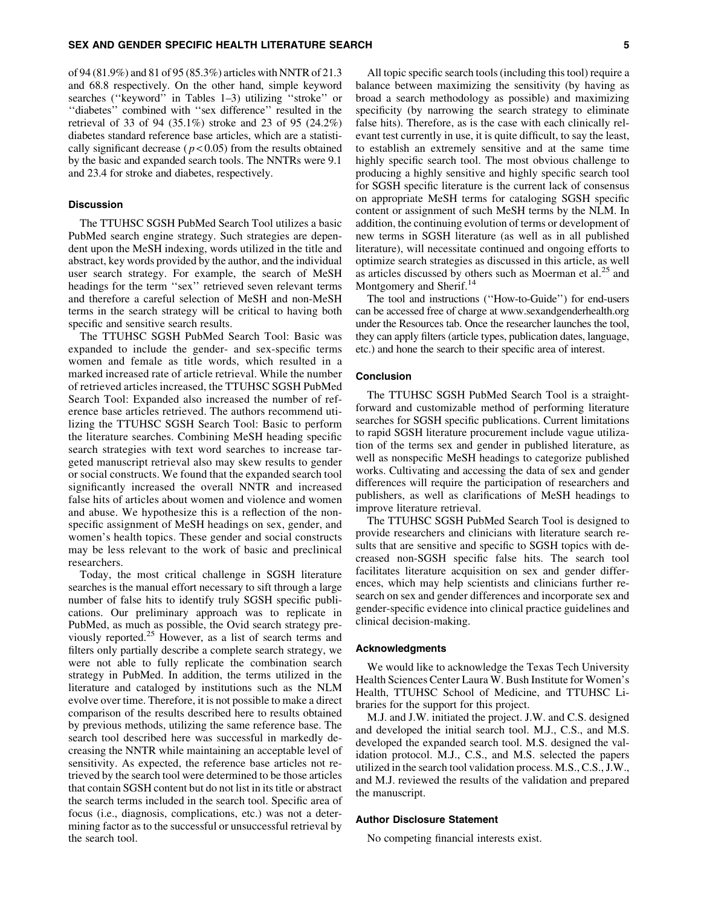of 94 (81.9%) and 81 of 95 (85.3%) articles with NNTR of 21.3 and 68.8 respectively. On the other hand, simple keyword searches (''keyword'' in Tables 1–3) utilizing ''stroke'' or ''diabetes'' combined with ''sex difference'' resulted in the retrieval of 33 of 94 (35.1%) stroke and 23 of 95 (24.2%) diabetes standard reference base articles, which are a statistically significant decrease ( $p < 0.05$ ) from the results obtained by the basic and expanded search tools. The NNTRs were 9.1 and 23.4 for stroke and diabetes, respectively.

## **Discussion**

The TTUHSC SGSH PubMed Search Tool utilizes a basic PubMed search engine strategy. Such strategies are dependent upon the MeSH indexing, words utilized in the title and abstract, key words provided by the author, and the individual user search strategy. For example, the search of MeSH headings for the term "sex" retrieved seven relevant terms and therefore a careful selection of MeSH and non-MeSH terms in the search strategy will be critical to having both specific and sensitive search results.

The TTUHSC SGSH PubMed Search Tool: Basic was expanded to include the gender- and sex-specific terms women and female as title words, which resulted in a marked increased rate of article retrieval. While the number of retrieved articles increased, the TTUHSC SGSH PubMed Search Tool: Expanded also increased the number of reference base articles retrieved. The authors recommend utilizing the TTUHSC SGSH Search Tool: Basic to perform the literature searches. Combining MeSH heading specific search strategies with text word searches to increase targeted manuscript retrieval also may skew results to gender or social constructs. We found that the expanded search tool significantly increased the overall NNTR and increased false hits of articles about women and violence and women and abuse. We hypothesize this is a reflection of the nonspecific assignment of MeSH headings on sex, gender, and women's health topics. These gender and social constructs may be less relevant to the work of basic and preclinical researchers.

Today, the most critical challenge in SGSH literature searches is the manual effort necessary to sift through a large number of false hits to identify truly SGSH specific publications. Our preliminary approach was to replicate in PubMed, as much as possible, the Ovid search strategy previously reported.<sup>25</sup> However, as a list of search terms and filters only partially describe a complete search strategy, we were not able to fully replicate the combination search strategy in PubMed. In addition, the terms utilized in the literature and cataloged by institutions such as the NLM evolve over time. Therefore, it is not possible to make a direct comparison of the results described here to results obtained by previous methods, utilizing the same reference base. The search tool described here was successful in markedly decreasing the NNTR while maintaining an acceptable level of sensitivity. As expected, the reference base articles not retrieved by the search tool were determined to be those articles that contain SGSH content but do not list in its title or abstract the search terms included in the search tool. Specific area of focus (i.e., diagnosis, complications, etc.) was not a determining factor as to the successful or unsuccessful retrieval by the search tool.

All topic specific search tools (including this tool) require a balance between maximizing the sensitivity (by having as broad a search methodology as possible) and maximizing specificity (by narrowing the search strategy to eliminate false hits). Therefore, as is the case with each clinically relevant test currently in use, it is quite difficult, to say the least, to establish an extremely sensitive and at the same time highly specific search tool. The most obvious challenge to producing a highly sensitive and highly specific search tool for SGSH specific literature is the current lack of consensus on appropriate MeSH terms for cataloging SGSH specific content or assignment of such MeSH terms by the NLM. In addition, the continuing evolution of terms or development of new terms in SGSH literature (as well as in all published literature), will necessitate continued and ongoing efforts to optimize search strategies as discussed in this article, as well as articles discussed by others such as Moerman et al.<sup>25</sup> and Montgomery and Sherif.<sup>14</sup>

The tool and instructions (''How-to-Guide'') for end-users can be accessed free of charge at www.sexandgenderhealth.org under the Resources tab. Once the researcher launches the tool, they can apply filters (article types, publication dates, language, etc.) and hone the search to their specific area of interest.

### Conclusion

The TTUHSC SGSH PubMed Search Tool is a straightforward and customizable method of performing literature searches for SGSH specific publications. Current limitations to rapid SGSH literature procurement include vague utilization of the terms sex and gender in published literature, as well as nonspecific MeSH headings to categorize published works. Cultivating and accessing the data of sex and gender differences will require the participation of researchers and publishers, as well as clarifications of MeSH headings to improve literature retrieval.

The TTUHSC SGSH PubMed Search Tool is designed to provide researchers and clinicians with literature search results that are sensitive and specific to SGSH topics with decreased non-SGSH specific false hits. The search tool facilitates literature acquisition on sex and gender differences, which may help scientists and clinicians further research on sex and gender differences and incorporate sex and gender-specific evidence into clinical practice guidelines and clinical decision-making.

#### Acknowledgments

We would like to acknowledge the Texas Tech University Health Sciences Center Laura W. Bush Institute for Women's Health, TTUHSC School of Medicine, and TTUHSC Libraries for the support for this project.

M.J. and J.W. initiated the project. J.W. and C.S. designed and developed the initial search tool. M.J., C.S., and M.S. developed the expanded search tool. M.S. designed the validation protocol. M.J., C.S., and M.S. selected the papers utilized in the search tool validation process. M.S., C.S., J.W., and M.J. reviewed the results of the validation and prepared the manuscript.

## Author Disclosure Statement

No competing financial interests exist.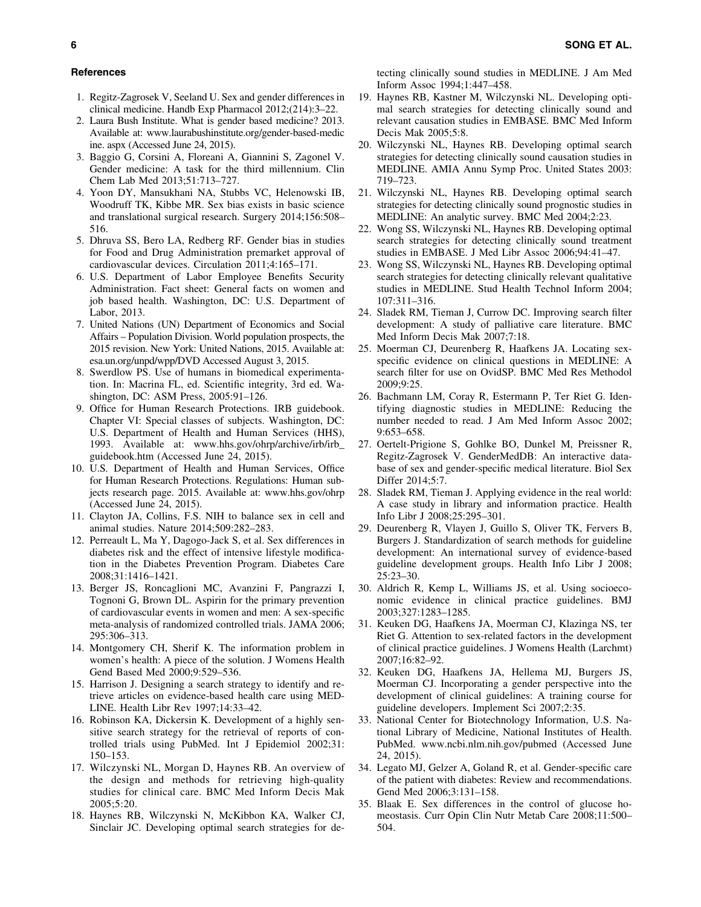## **References**

- 1. Regitz-Zagrosek V, Seeland U. Sex and gender differences in clinical medicine. Handb Exp Pharmacol 2012;(214):3–22.
- 2. Laura Bush Institute. What is gender based medicine? 2013. Available at: www.laurabushinstitute.org/gender-based-medic ine. aspx (Accessed June 24, 2015).
- 3. Baggio G, Corsini A, Floreani A, Giannini S, Zagonel V. Gender medicine: A task for the third millennium. Clin Chem Lab Med 2013;51:713–727.
- 4. Yoon DY, Mansukhani NA, Stubbs VC, Helenowski IB, Woodruff TK, Kibbe MR. Sex bias exists in basic science and translational surgical research. Surgery 2014;156:508– 516.
- 5. Dhruva SS, Bero LA, Redberg RF. Gender bias in studies for Food and Drug Administration premarket approval of cardiovascular devices. Circulation 2011;4:165–171.
- 6. U.S. Department of Labor Employee Benefits Security Administration. Fact sheet: General facts on women and job based health. Washington, DC: U.S. Department of Labor, 2013.
- 7. United Nations (UN) Department of Economics and Social Affairs – Population Division. World population prospects, the 2015 revision. New York: United Nations, 2015. Available at: esa.un.org/unpd/wpp/DVD Accessed August 3, 2015.
- 8. Swerdlow PS. Use of humans in biomedical experimentation. In: Macrina FL, ed. Scientific integrity, 3rd ed. Washington, DC: ASM Press, 2005:91–126.
- 9. Office for Human Research Protections. IRB guidebook. Chapter VI: Special classes of subjects. Washington, DC: U.S. Department of Health and Human Services (HHS), 1993. Available at: www.hhs.gov/ohrp/archive/irb/irb\_ guidebook.htm (Accessed June 24, 2015).
- 10. U.S. Department of Health and Human Services, Office for Human Research Protections. Regulations: Human subjects research page. 2015. Available at: www.hhs.gov/ohrp (Accessed June 24, 2015).
- 11. Clayton JA, Collins, F.S. NIH to balance sex in cell and animal studies. Nature 2014;509:282–283.
- 12. Perreault L, Ma Y, Dagogo-Jack S, et al. Sex differences in diabetes risk and the effect of intensive lifestyle modification in the Diabetes Prevention Program. Diabetes Care 2008;31:1416–1421.
- 13. Berger JS, Roncaglioni MC, Avanzini F, Pangrazzi I, Tognoni G, Brown DL. Aspirin for the primary prevention of cardiovascular events in women and men: A sex-specific meta-analysis of randomized controlled trials. JAMA 2006; 295:306–313.
- 14. Montgomery CH, Sherif K. The information problem in women's health: A piece of the solution. J Womens Health Gend Based Med 2000;9:529–536.
- 15. Harrison J. Designing a search strategy to identify and retrieve articles on evidence-based health care using MED-LINE. Health Libr Rev 1997;14:33–42.
- 16. Robinson KA, Dickersin K. Development of a highly sensitive search strategy for the retrieval of reports of controlled trials using PubMed. Int J Epidemiol 2002;31: 150–153.
- 17. Wilczynski NL, Morgan D, Haynes RB. An overview of the design and methods for retrieving high-quality studies for clinical care. BMC Med Inform Decis Mak 2005;5:20.
- 18. Haynes RB, Wilczynski N, McKibbon KA, Walker CJ, Sinclair JC. Developing optimal search strategies for de-

tecting clinically sound studies in MEDLINE. J Am Med Inform Assoc 1994;1:447–458.

- 19. Haynes RB, Kastner M, Wilczynski NL. Developing optimal search strategies for detecting clinically sound and relevant causation studies in EMBASE. BMC Med Inform Decis Mak 2005;5:8.
- 20. Wilczynski NL, Haynes RB. Developing optimal search strategies for detecting clinically sound causation studies in MEDLINE. AMIA Annu Symp Proc. United States 2003: 719–723.
- 21. Wilczynski NL, Haynes RB. Developing optimal search strategies for detecting clinically sound prognostic studies in MEDLINE: An analytic survey. BMC Med 2004;2:23.
- 22. Wong SS, Wilczynski NL, Haynes RB. Developing optimal search strategies for detecting clinically sound treatment studies in EMBASE. J Med Libr Assoc 2006;94:41–47.
- 23. Wong SS, Wilczynski NL, Haynes RB. Developing optimal search strategies for detecting clinically relevant qualitative studies in MEDLINE. Stud Health Technol Inform 2004; 107:311–316.
- 24. Sladek RM, Tieman J, Currow DC. Improving search filter development: A study of palliative care literature. BMC Med Inform Decis Mak 2007;7:18.
- 25. Moerman CJ, Deurenberg R, Haafkens JA. Locating sexspecific evidence on clinical questions in MEDLINE: A search filter for use on OvidSP. BMC Med Res Methodol 2009;9:25.
- 26. Bachmann LM, Coray R, Estermann P, Ter Riet G. Identifying diagnostic studies in MEDLINE: Reducing the number needed to read. J Am Med Inform Assoc 2002; 9:653–658.
- 27. Oertelt-Prigione S, Gohlke BO, Dunkel M, Preissner R, Regitz-Zagrosek V. GenderMedDB: An interactive database of sex and gender-specific medical literature. Biol Sex Differ 2014;5:7.
- 28. Sladek RM, Tieman J. Applying evidence in the real world: A case study in library and information practice. Health Info Libr J 2008;25:295–301.
- 29. Deurenberg R, Vlayen J, Guillo S, Oliver TK, Fervers B, Burgers J. Standardization of search methods for guideline development: An international survey of evidence-based guideline development groups. Health Info Libr J 2008; 25:23–30.
- 30. Aldrich R, Kemp L, Williams JS, et al. Using socioeconomic evidence in clinical practice guidelines. BMJ 2003;327:1283–1285.
- 31. Keuken DG, Haafkens JA, Moerman CJ, Klazinga NS, ter Riet G. Attention to sex-related factors in the development of clinical practice guidelines. J Womens Health (Larchmt) 2007;16:82–92.
- 32. Keuken DG, Haafkens JA, Hellema MJ, Burgers JS, Moerman CJ. Incorporating a gender perspective into the development of clinical guidelines: A training course for guideline developers. Implement Sci 2007;2:35.
- 33. National Center for Biotechnology Information, U.S. National Library of Medicine, National Institutes of Health. PubMed. www.ncbi.nlm.nih.gov/pubmed (Accessed June 24, 2015).
- 34. Legato MJ, Gelzer A, Goland R, et al. Gender-specific care of the patient with diabetes: Review and recommendations. Gend Med 2006;3:131–158.
- 35. Blaak E. Sex differences in the control of glucose homeostasis. Curr Opin Clin Nutr Metab Care 2008;11:500– 504.